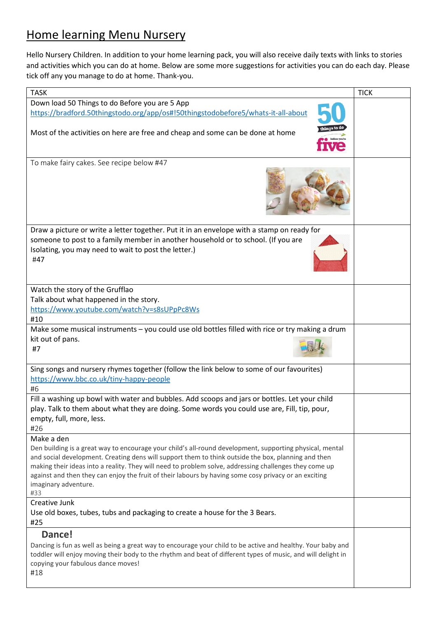# Home learning Menu Nursery

Hello Nursery Children. In addition to your home learning pack, you will also receive daily texts with links to stories and activities which you can do at home. Below are some more suggestions for activities you can do each day. Please tick off any you manage to do at home. Thank-you.

| <b>TASK</b>                                                                                                                                                                                                                                                                                                                                                                                                                                                       | <b>TICK</b> |
|-------------------------------------------------------------------------------------------------------------------------------------------------------------------------------------------------------------------------------------------------------------------------------------------------------------------------------------------------------------------------------------------------------------------------------------------------------------------|-------------|
| Down load 50 Things to do Before you are 5 App                                                                                                                                                                                                                                                                                                                                                                                                                    |             |
| https://bradford.50thingstodo.org/app/os#!50thingstodobefore5/whats-it-all-about                                                                                                                                                                                                                                                                                                                                                                                  |             |
| Most of the activities on here are free and cheap and some can be done at home                                                                                                                                                                                                                                                                                                                                                                                    |             |
| To make fairy cakes. See recipe below #47                                                                                                                                                                                                                                                                                                                                                                                                                         |             |
|                                                                                                                                                                                                                                                                                                                                                                                                                                                                   |             |
| Draw a picture or write a letter together. Put it in an envelope with a stamp on ready for                                                                                                                                                                                                                                                                                                                                                                        |             |
| someone to post to a family member in another household or to school. (If you are<br>Isolating, you may need to wait to post the letter.)<br>#47                                                                                                                                                                                                                                                                                                                  |             |
| Watch the story of the Grufflao                                                                                                                                                                                                                                                                                                                                                                                                                                   |             |
| Talk about what happened in the story.                                                                                                                                                                                                                                                                                                                                                                                                                            |             |
| https://www.youtube.com/watch?v=s8sUPpPc8Ws                                                                                                                                                                                                                                                                                                                                                                                                                       |             |
| #10                                                                                                                                                                                                                                                                                                                                                                                                                                                               |             |
| Make some musical instruments - you could use old bottles filled with rice or try making a drum                                                                                                                                                                                                                                                                                                                                                                   |             |
| kit out of pans.<br>#7                                                                                                                                                                                                                                                                                                                                                                                                                                            |             |
| Sing songs and nursery rhymes together (follow the link below to some of our favourites)                                                                                                                                                                                                                                                                                                                                                                          |             |
| https://www.bbc.co.uk/tiny-happy-people                                                                                                                                                                                                                                                                                                                                                                                                                           |             |
| #6                                                                                                                                                                                                                                                                                                                                                                                                                                                                |             |
| Fill a washing up bowl with water and bubbles. Add scoops and jars or bottles. Let your child                                                                                                                                                                                                                                                                                                                                                                     |             |
| play. Talk to them about what they are doing. Some words you could use are, Fill, tip, pour,<br>empty, full, more, less.<br>#26                                                                                                                                                                                                                                                                                                                                   |             |
| Make a den                                                                                                                                                                                                                                                                                                                                                                                                                                                        |             |
| Den building is a great way to encourage your child's all-round development, supporting physical, mental<br>and social development. Creating dens will support them to think outside the box, planning and then<br>making their ideas into a reality. They will need to problem solve, addressing challenges they come up<br>against and then they can enjoy the fruit of their labours by having some cosy privacy or an exciting<br>imaginary adventure.<br>#33 |             |
| Creative Junk                                                                                                                                                                                                                                                                                                                                                                                                                                                     |             |
| Use old boxes, tubes, tubs and packaging to create a house for the 3 Bears.<br>#25                                                                                                                                                                                                                                                                                                                                                                                |             |
| Dance!                                                                                                                                                                                                                                                                                                                                                                                                                                                            |             |
| Dancing is fun as well as being a great way to encourage your child to be active and healthy. Your baby and                                                                                                                                                                                                                                                                                                                                                       |             |
| toddler will enjoy moving their body to the rhythm and beat of different types of music, and will delight in<br>copying your fabulous dance moves!<br>#18                                                                                                                                                                                                                                                                                                         |             |
|                                                                                                                                                                                                                                                                                                                                                                                                                                                                   |             |